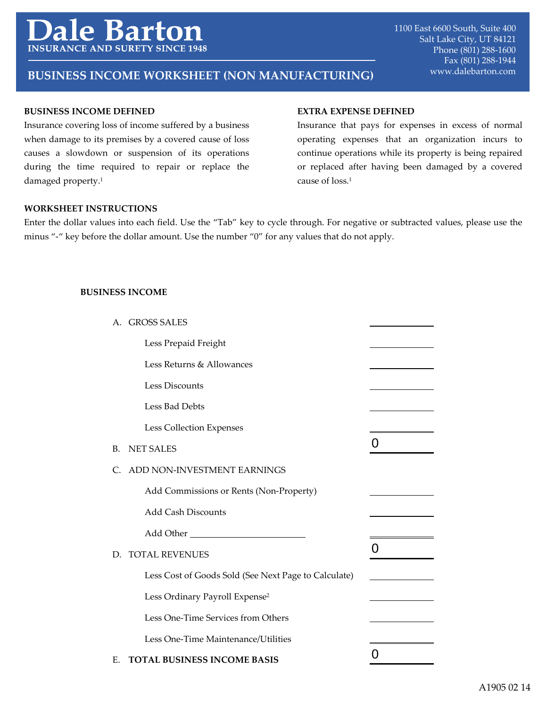# e Bartoi **INSURANCE AND SURETY**

# www.dalebarton.com **BUSINESS INCOME WORKSHEET (NON MANUFACTURING)**

## **BUSINESS INCOME DEFINED**

Insurance covering loss of income suffered by a business when damage to its premises by a covered cause of loss causes a slowdown or suspension of its operations during the time required to repair or replace the damaged property.<sup>1</sup>

#### **EXTRA EXPENSE DEFINED**

Insurance that pays for expenses in excess of normal operating expenses that an organization incurs to continue operations while its property is being repaired or replaced after having been damaged by a covered cause of loss.1

## **WORKSHEET INSTRUCTIONS**

Enter the dollar values into each field. Use the "Tab" key to cycle through. For negative or subtracted values, please use the minus "-" key before the dollar amount. Use the number "0" for any values that do not apply.

#### **BUSINESS INCOME**

| А. | <b>GROSS SALES</b>                                   |   |
|----|------------------------------------------------------|---|
|    | Less Prepaid Freight                                 |   |
|    | Less Returns & Allowances                            |   |
|    | Less Discounts                                       |   |
|    | Less Bad Debts                                       |   |
|    | Less Collection Expenses                             |   |
| B. | <b>NET SALES</b>                                     | O |
| C. | ADD NON-INVESTMENT EARNINGS                          |   |
|    | Add Commissions or Rents (Non-Property)              |   |
|    | <b>Add Cash Discounts</b>                            |   |
|    | Add Other National Add Other                         |   |
| D. | <b>TOTAL REVENUES</b>                                | Ő |
|    | Less Cost of Goods Sold (See Next Page to Calculate) |   |
|    | Less Ordinary Payroll Expense <sup>2</sup>           |   |
|    | Less One-Time Services from Others                   |   |
|    | Less One-Time Maintenance/Utilities                  |   |
| Е. | <b>TOTAL BUSINESS INCOME BASIS</b>                   |   |